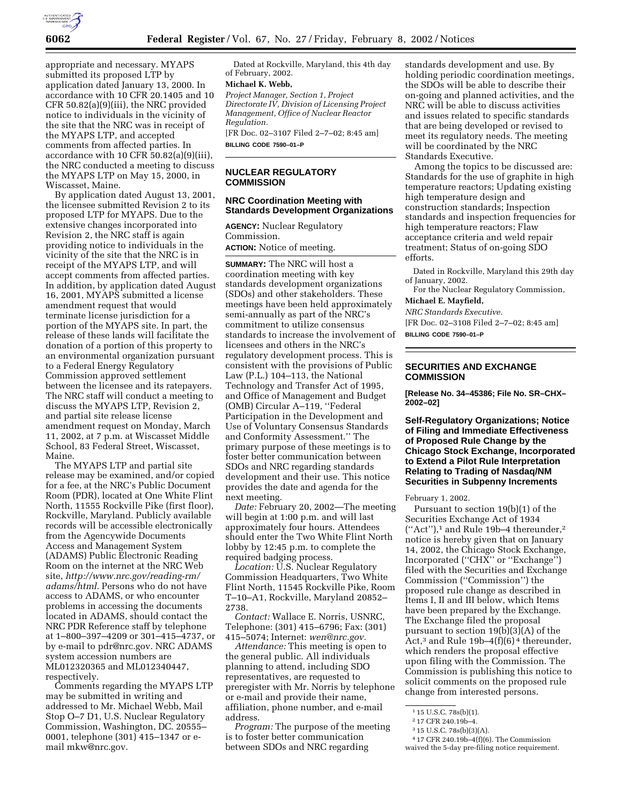

appropriate and necessary. MYAPS submitted its proposed LTP by application dated January 13, 2000. In accordance with 10 CFR 20.1405 and 10 CFR 50.82(a)(9)(iii), the NRC provided notice to individuals in the vicinity of the site that the NRC was in receipt of the MYAPS LTP, and accepted comments from affected parties. In accordance with 10 CFR 50.82(a)(9)(iii), the NRC conducted a meeting to discuss the MYAPS LTP on May 15, 2000, in Wiscasset, Maine.

By application dated August 13, 2001, the licensee submitted Revision 2 to its proposed LTP for MYAPS. Due to the extensive changes incorporated into Revision 2, the NRC staff is again providing notice to individuals in the vicinity of the site that the NRC is in receipt of the MYAPS LTP, and will accept comments from affected parties. In addition, by application dated August 16, 2001, MYAPS submitted a license amendment request that would terminate license jurisdiction for a portion of the MYAPS site. In part, the release of these lands will facilitate the donation of a portion of this property to an environmental organization pursuant to a Federal Energy Regulatory Commission approved settlement between the licensee and its ratepayers. The NRC staff will conduct a meeting to discuss the MYAPS LTP, Revision 2, and partial site release license amendment request on Monday, March 11, 2002, at 7 p.m. at Wiscasset Middle School, 83 Federal Street, Wiscasset, Maine.

The MYAPS LTP and partial site release may be examined, and/or copied for a fee, at the NRC's Public Document Room (PDR), located at One White Flint North, 11555 Rockville Pike (first floor), Rockville, Maryland. Publicly available records will be accessible electronically from the Agencywide Documents Access and Management System (ADAMS) Public Electronic Reading Room on the internet at the NRC Web site, *http://www.nrc.gov/reading-rm/ adams/html*. Persons who do not have access to ADAMS, or who encounter problems in accessing the documents located in ADAMS, should contact the NRC PDR Reference staff by telephone at 1–800–397–4209 or 301–415–4737, or by e-mail to pdr@nrc.gov. NRC ADAMS system accession numbers are ML012320365 and ML012340447, respectively.

Comments regarding the MYAPS LTP may be submitted in writing and addressed to Mr. Michael Webb, Mail Stop O–7 D1, U.S. Nuclear Regulatory Commission, Washington, DC. 20555– 0001, telephone (301) 415–1347 or email mkw@nrc.gov.

Dated at Rockville, Maryland, this 4th day of February, 2002.

# **Michael K. Webb,**

*Project Manager, Section 1, Project Directorate IV, Division of Licensing Project Management, Office of Nuclear Reactor Regulation.*

[FR Doc. 02–3107 Filed 2–7–02; 8:45 am] **BILLING CODE 7590–01–P**

## **NUCLEAR REGULATORY COMMISSION**

## **NRC Coordination Meeting with Standards Development Organizations**

**AGENCY:** Nuclear Regulatory Commission.

**ACTION:** Notice of meeting.

**SUMMARY:** The NRC will host a coordination meeting with key standards development organizations (SDOs) and other stakeholders. These meetings have been held approximately semi-annually as part of the NRC's commitment to utilize consensus standards to increase the involvement of licensees and others in the NRC's regulatory development process. This is consistent with the provisions of Public Law (P.L.) 104–113, the National Technology and Transfer Act of 1995, and Office of Management and Budget (OMB) Circular A–119, ''Federal Participation in the Development and Use of Voluntary Consensus Standards and Conformity Assessment.'' The primary purpose of these meetings is to foster better communication between SDOs and NRC regarding standards development and their use. This notice provides the date and agenda for the next meeting.

*Date:* February 20, 2002—The meeting will begin at 1:00 p.m. and will last approximately four hours. Attendees should enter the Two White Flint North lobby by 12:45 p.m. to complete the required badging process.

*Location:* U.S. Nuclear Regulatory Commission Headquarters, Two White Flint North, 11545 Rockville Pike, Room T–10–A1, Rockville, Maryland 20852– 2738.

*Contact:* Wallace E. Norris, USNRC, Telephone: (301) 415–6796; Fax: (301) 415–5074; Internet: *wen@nrc.gov.*

*Attendance:* This meeting is open to the general public. All individuals planning to attend, including SDO representatives, are requested to preregister with Mr. Norris by telephone or e-mail and provide their name, affiliation, phone number, and e-mail address.

*Program:* The purpose of the meeting is to foster better communication between SDOs and NRC regarding

standards development and use. By holding periodic coordination meetings, the SDOs will be able to describe their on-going and planned activities, and the NRC will be able to discuss activities and issues related to specific standards that are being developed or revised to meet its regulatory needs. The meeting will be coordinated by the NRC Standards Executive.

Among the topics to be discussed are: Standards for the use of graphite in high temperature reactors; Updating existing high temperature design and construction standards; Inspection standards and inspection frequencies for high temperature reactors; Flaw acceptance criteria and weld repair treatment; Status of on-going SDO efforts.

Dated in Rockville, Maryland this 29th day of January, 2002.

For the Nuclear Regulatory Commission, **Michael E. Mayfield,**

*NRC Standards Executive.*

[FR Doc. 02–3108 Filed 2–7–02; 8:45 am] **BILLING CODE 7590–01–P**

### **SECURITIES AND EXCHANGE COMMISSION**

**[Release No. 34–45386; File No. SR–CHX– 2002–02]**

**Self-Regulatory Organizations; Notice of Filing and Immediate Effectiveness of Proposed Rule Change by the Chicago Stock Exchange, Incorporated to Extend a Pilot Rule Interpretation Relating to Trading of Nasdaq/NM Securities in Subpenny Increments**

February 1, 2002.

Pursuant to section 19(b)(1) of the Securities Exchange Act of 1934 ("Act"),<sup>1</sup> and Rule 19b-4 thereunder,<sup>2</sup> notice is hereby given that on January 14, 2002, the Chicago Stock Exchange, Incorporated (''CHX'' or ''Exchange'') filed with the Securities and Exchange Commission (''Commission'') the proposed rule change as described in Items I, II and III below, which Items have been prepared by the Exchange. The Exchange filed the proposal pursuant to section 19(b)(3)(A) of the Act,<sup>3</sup> and Rule 19b-4(f)(6)<sup>4</sup> thereunder, which renders the proposal effective upon filing with the Commission. The Commission is publishing this notice to solicit comments on the proposed rule change from interested persons.

<sup>1</sup> 15 U.S.C. 78s(b)(1).

<sup>2</sup> 17 CFR 240.19b–4.

<sup>3</sup> 15 U.S.C. 78s(b)(3)(A).

<sup>4</sup> 17 CFR 240.19b–4(f)(6). The Commission

waived the 5-day pre-filing notice requirement.